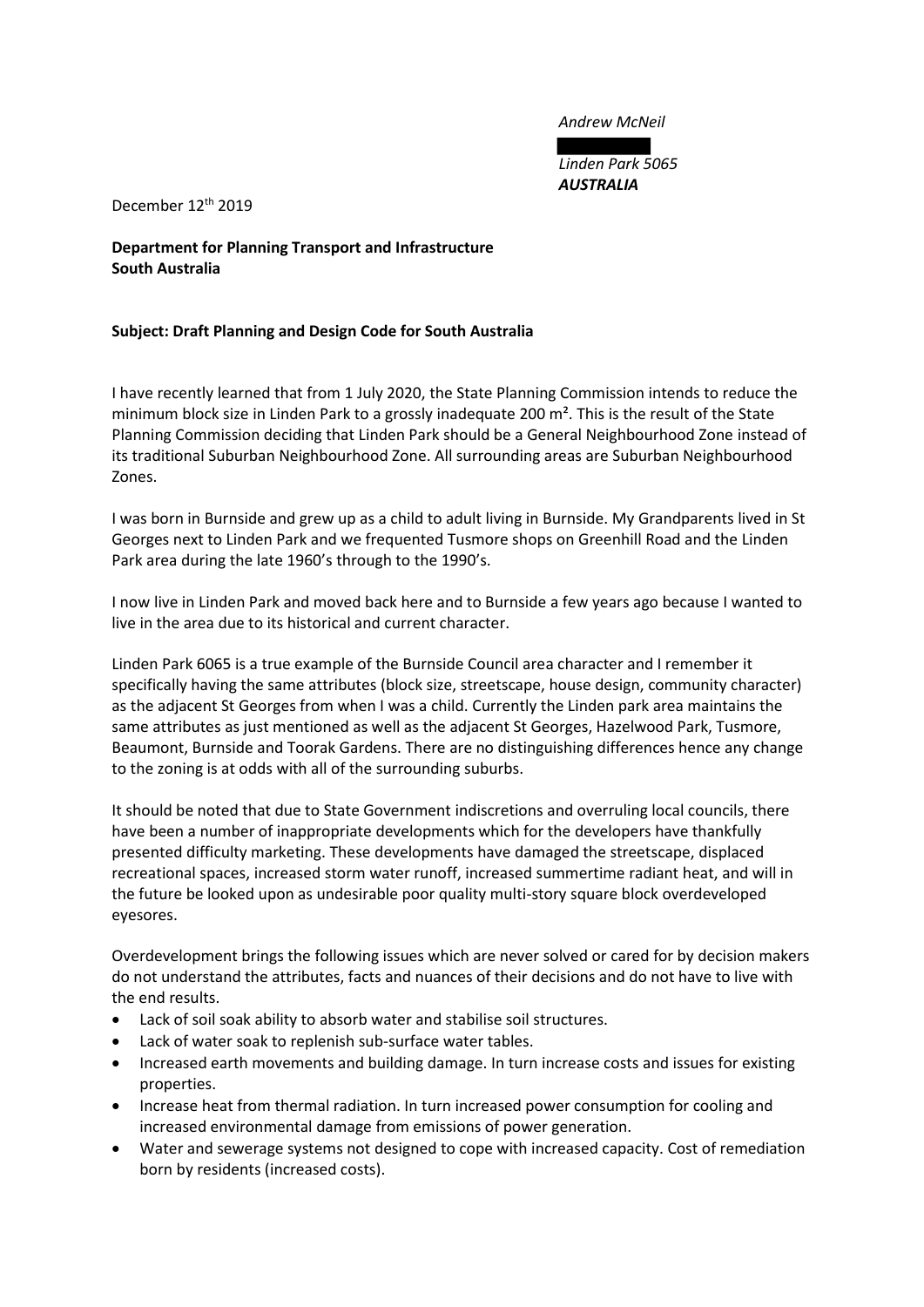*Andrew McNeil*

*Linden Park 5065 AUSTRALIA*

December 12th 2019

**Department for Planning Transport and Infrastructure South Australia**

## **Subject: Draft Planning and Design Code for South Australia**

I have recently learned that from 1 July 2020, the State Planning Commission intends to reduce the minimum block size in Linden Park to a grossly inadequate 200 m<sup>2</sup>. This is the result of the State Planning Commission deciding that Linden Park should be a General Neighbourhood Zone instead of its traditional Suburban Neighbourhood Zone. All surrounding areas are Suburban Neighbourhood Zones.

I was born in Burnside and grew up as a child to adult living in Burnside. My Grandparents lived in St Georges next to Linden Park and we frequented Tusmore shops on Greenhill Road and the Linden Park area during the late 1960's through to the 1990's.

I now live in Linden Park and moved back here and to Burnside a few years ago because I wanted to live in the area due to its historical and current character.

Linden Park 6065 is a true example of the Burnside Council area character and I remember it specifically having the same attributes (block size, streetscape, house design, community character) as the adjacent St Georges from when I was a child. Currently the Linden park area maintains the same attributes as just mentioned as well as the adjacent St Georges, Hazelwood Park, Tusmore, Beaumont, Burnside and Toorak Gardens. There are no distinguishing differences hence any change to the zoning is at odds with all of the surrounding suburbs.

It should be noted that due to State Government indiscretions and overruling local councils, there have been a number of inappropriate developments which for the developers have thankfully presented difficulty marketing. These developments have damaged the streetscape, displaced recreational spaces, increased storm water runoff, increased summertime radiant heat, and will in the future be looked upon as undesirable poor quality multi-story square block overdeveloped eyesores.

Overdevelopment brings the following issues which are never solved or cared for by decision makers do not understand the attributes, facts and nuances of their decisions and do not have to live with the end results.

- Lack of soil soak ability to absorb water and stabilise soil structures.
- Lack of water soak to replenish sub-surface water tables.
- Increased earth movements and building damage. In turn increase costs and issues for existing properties.
- Increase heat from thermal radiation. In turn increased power consumption for cooling and increased environmental damage from emissions of power generation.
- Water and sewerage systems not designed to cope with increased capacity. Cost of remediation born by residents (increased costs).